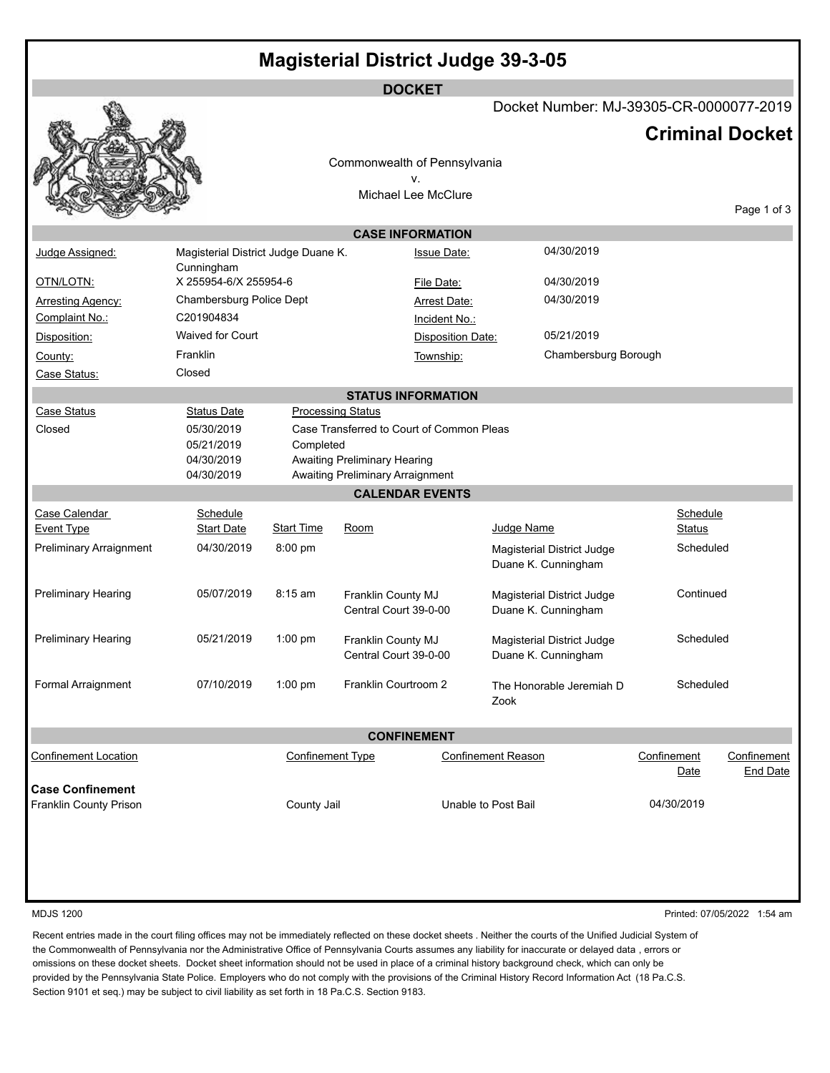|                             |                          |                                                          |                                  | <b>DOCKET</b>                |                                   |                                                   |               |             |  |  |  |
|-----------------------------|--------------------------|----------------------------------------------------------|----------------------------------|------------------------------|-----------------------------------|---------------------------------------------------|---------------|-------------|--|--|--|
|                             |                          | Docket Number: MJ-39305-CR-0000077-2019                  |                                  |                              |                                   |                                                   |               |             |  |  |  |
|                             |                          | <b>Criminal Docket</b>                                   |                                  |                              |                                   |                                                   |               |             |  |  |  |
|                             |                          |                                                          |                                  | Commonwealth of Pennsylvania |                                   |                                                   |               |             |  |  |  |
|                             |                          |                                                          |                                  | v.<br>Michael Lee McClure    |                                   |                                                   |               |             |  |  |  |
|                             |                          |                                                          |                                  |                              |                                   |                                                   |               | Page 1 of 3 |  |  |  |
|                             |                          |                                                          |                                  | <b>CASE INFORMATION</b>      |                                   |                                                   |               |             |  |  |  |
| Judge Assigned:             | Cunningham               | Magisterial District Judge Duane K.                      |                                  |                              | 04/30/2019<br><b>Issue Date:</b>  |                                                   |               |             |  |  |  |
| OTN/LOTN:                   |                          | X 255954-6/X 255954-6                                    |                                  |                              | 04/30/2019<br>File Date:          |                                                   |               |             |  |  |  |
| <b>Arresting Agency:</b>    |                          | Chambersburg Police Dept                                 |                                  |                              | 04/30/2019<br><b>Arrest Date:</b> |                                                   |               |             |  |  |  |
| Complaint No.:              | C201904834               |                                                          |                                  | Incident No.:                |                                   |                                                   |               |             |  |  |  |
| Disposition:                | <b>Waived for Court</b>  |                                                          |                                  |                              | Disposition Date:                 |                                                   |               |             |  |  |  |
| County:                     | Franklin                 |                                                          |                                  | Township:                    |                                   | Chambersburg Borough                              |               |             |  |  |  |
| Case Status:                | Closed                   |                                                          |                                  |                              |                                   |                                                   |               |             |  |  |  |
|                             |                          |                                                          |                                  | <b>STATUS INFORMATION</b>    |                                   |                                                   |               |             |  |  |  |
| Case Status                 | <b>Status Date</b>       |                                                          | <b>Processing Status</b>         |                              |                                   |                                                   |               |             |  |  |  |
| Closed                      | 05/30/2019               | Case Transferred to Court of Common Pleas                |                                  |                              |                                   |                                                   |               |             |  |  |  |
|                             | 05/21/2019               | Completed<br><b>Awaiting Preliminary Hearing</b>         |                                  |                              |                                   |                                                   |               |             |  |  |  |
|                             | 04/30/2019<br>04/30/2019 |                                                          | Awaiting Preliminary Arraignment |                              |                                   |                                                   |               |             |  |  |  |
|                             |                          |                                                          |                                  | <b>CALENDAR EVENTS</b>       |                                   |                                                   |               |             |  |  |  |
| Case Calendar               | Schedule                 |                                                          |                                  |                              |                                   |                                                   | Schedule      |             |  |  |  |
| Event Type                  | <b>Start Date</b>        | <b>Start Time</b>                                        | Room                             |                              | Judge Name                        |                                                   | <b>Status</b> |             |  |  |  |
| Preliminary Arraignment     | 04/30/2019               | 8:00 pm                                                  |                                  |                              |                                   | Magisterial District Judge                        | Scheduled     |             |  |  |  |
|                             |                          |                                                          |                                  |                              |                                   | Duane K. Cunningham                               |               |             |  |  |  |
| <b>Preliminary Hearing</b>  | 05/07/2019               | 8:15 am                                                  | Franklin County MJ               |                              | Magisterial District Judge        |                                                   | Continued     |             |  |  |  |
|                             |                          | Central Court 39-0-00                                    |                                  | Duane K. Cunningham          |                                   |                                                   |               |             |  |  |  |
|                             |                          |                                                          |                                  |                              |                                   |                                                   |               |             |  |  |  |
| <b>Preliminary Hearing</b>  | 05/21/2019               | $1:00$ pm<br>Franklin County MJ<br>Central Court 39-0-00 |                                  |                              |                                   | Magisterial District Judge<br>Duane K. Cunningham | Scheduled     |             |  |  |  |
|                             |                          |                                                          |                                  |                              |                                   |                                                   |               |             |  |  |  |
| Formal Arraignment          | 07/10/2019               | $1:00$ pm                                                | Franklin Courtroom 2             |                              |                                   | The Honorable Jeremiah D                          | Scheduled     |             |  |  |  |
|                             |                          |                                                          |                                  |                              | Zook                              |                                                   |               |             |  |  |  |
|                             |                          |                                                          |                                  | <b>CONFINEMENT</b>           |                                   |                                                   |               |             |  |  |  |
| <b>Confinement Location</b> |                          | <b>Confinement Type</b>                                  |                                  |                              | <b>Confinement Reason</b>         |                                                   | Confinement   | Confinement |  |  |  |
|                             |                          |                                                          |                                  |                              |                                   |                                                   | Date          | End Date    |  |  |  |
| <b>Case Confinement</b>     |                          |                                                          |                                  |                              |                                   |                                                   |               |             |  |  |  |
| Franklin County Prison      |                          | County Jail                                              |                                  | Unable to Post Bail          |                                   |                                                   | 04/30/2019    |             |  |  |  |
|                             |                          |                                                          |                                  |                              |                                   |                                                   |               |             |  |  |  |
|                             |                          |                                                          |                                  |                              |                                   |                                                   |               |             |  |  |  |

MDJS 1200 Printed: 07/05/2022 1:54 am

Recent entries made in the court filing offices may not be immediately reflected on these docket sheets . Neither the courts of the Unified Judicial System of the Commonwealth of Pennsylvania nor the Administrative Office of Pennsylvania Courts assumes any liability for inaccurate or delayed data , errors or omissions on these docket sheets. Docket sheet information should not be used in place of a criminal history background check, which can only be provided by the Pennsylvania State Police. Employers who do not comply with the provisions of the Criminal History Record Information Act (18 Pa.C.S. Section 9101 et seq.) may be subject to civil liability as set forth in 18 Pa.C.S. Section 9183.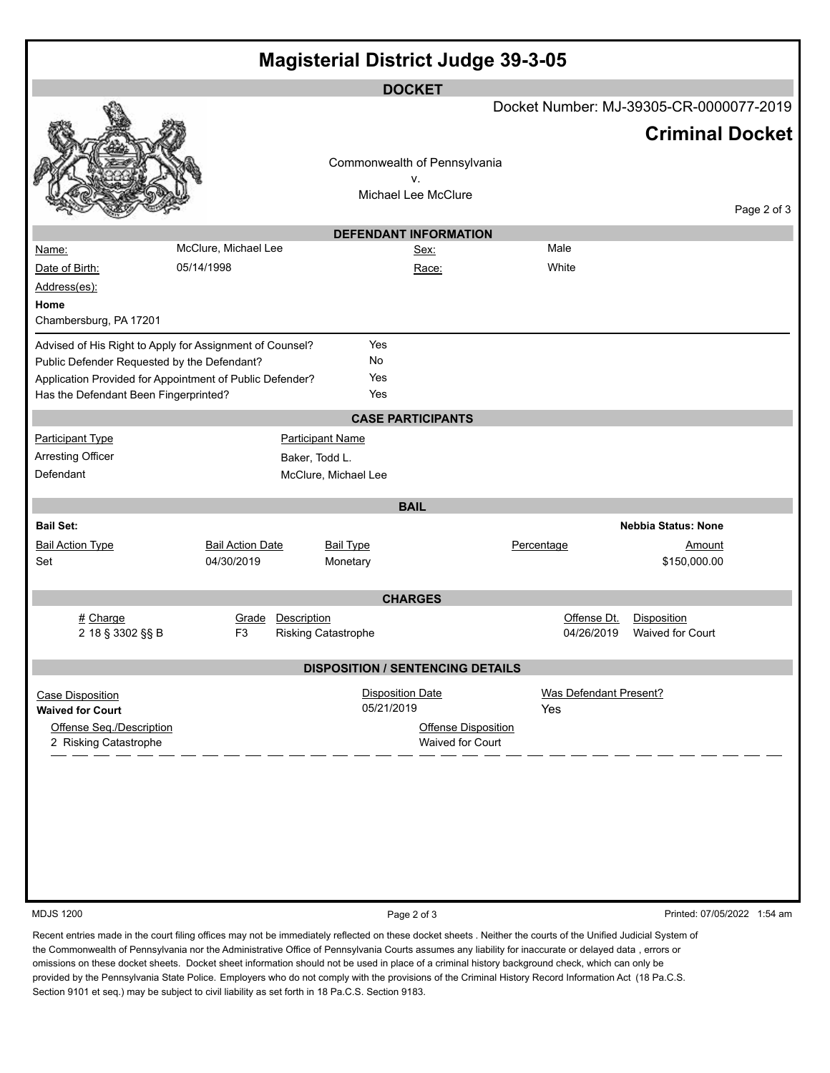| <b>Magisterial District Judge 39-3-05</b>                                                                                                                                                                    |                                        |                                                          |                                                |                                      |                                 |                             |  |  |  |  |  |  |  |
|--------------------------------------------------------------------------------------------------------------------------------------------------------------------------------------------------------------|----------------------------------------|----------------------------------------------------------|------------------------------------------------|--------------------------------------|---------------------------------|-----------------------------|--|--|--|--|--|--|--|
|                                                                                                                                                                                                              |                                        | <b>DOCKET</b><br>Docket Number: MJ-39305-CR-0000077-2019 |                                                |                                      |                                 |                             |  |  |  |  |  |  |  |
|                                                                                                                                                                                                              |                                        | Commonwealth of Pennsylvania<br>v.                       |                                                |                                      | <b>Criminal Docket</b>          |                             |  |  |  |  |  |  |  |
|                                                                                                                                                                                                              |                                        | Michael Lee McClure                                      |                                                |                                      |                                 | Page 2 of 3                 |  |  |  |  |  |  |  |
| <b>DEFENDANT INFORMATION</b>                                                                                                                                                                                 |                                        |                                                          |                                                |                                      |                                 |                             |  |  |  |  |  |  |  |
| Name:                                                                                                                                                                                                        | McClure, Michael Lee                   |                                                          | Sex:                                           | Male                                 |                                 |                             |  |  |  |  |  |  |  |
| Date of Birth:<br>Address(es):<br>Home                                                                                                                                                                       | 05/14/1998                             |                                                          | Race:                                          | White                                |                                 |                             |  |  |  |  |  |  |  |
| Chambersburg, PA 17201                                                                                                                                                                                       |                                        |                                                          |                                                |                                      |                                 |                             |  |  |  |  |  |  |  |
| Advised of His Right to Apply for Assignment of Counsel?<br>Public Defender Requested by the Defendant?<br>Application Provided for Appointment of Public Defender?<br>Has the Defendant Been Fingerprinted? |                                        | Yes<br>No<br>Yes<br>Yes                                  |                                                |                                      |                                 |                             |  |  |  |  |  |  |  |
|                                                                                                                                                                                                              |                                        | <b>CASE PARTICIPANTS</b>                                 |                                                |                                      |                                 |                             |  |  |  |  |  |  |  |
| <b>Participant Type</b>                                                                                                                                                                                      | <b>Participant Name</b>                |                                                          |                                                |                                      |                                 |                             |  |  |  |  |  |  |  |
| <b>Arresting Officer</b>                                                                                                                                                                                     | Baker, Todd L.                         |                                                          |                                                |                                      |                                 |                             |  |  |  |  |  |  |  |
| Defendant                                                                                                                                                                                                    |                                        | McClure, Michael Lee                                     |                                                |                                      |                                 |                             |  |  |  |  |  |  |  |
| <b>BAIL</b>                                                                                                                                                                                                  |                                        |                                                          |                                                |                                      |                                 |                             |  |  |  |  |  |  |  |
| <b>Bail Set:</b>                                                                                                                                                                                             |                                        |                                                          |                                                |                                      | <b>Nebbia Status: None</b>      |                             |  |  |  |  |  |  |  |
| <b>Bail Action Type</b><br>Set                                                                                                                                                                               | <b>Bail Action Date</b><br>04/30/2019  | <b>Bail Type</b><br>Monetary                             |                                                | Percentage                           | Amount<br>\$150,000.00          |                             |  |  |  |  |  |  |  |
|                                                                                                                                                                                                              |                                        | <b>CHARGES</b>                                           |                                                |                                      |                                 |                             |  |  |  |  |  |  |  |
| # Charge<br>2 18 § 3302 §§ B                                                                                                                                                                                 | Description<br>Grade<br>F <sub>3</sub> | Risking Catastrophe                                      |                                                | Offense Dt.<br>04/26/2019            | Disposition<br>Waived for Court |                             |  |  |  |  |  |  |  |
|                                                                                                                                                                                                              |                                        | <b>DISPOSITION / SENTENCING DETAILS</b>                  |                                                |                                      |                                 |                             |  |  |  |  |  |  |  |
| Case Disposition<br><b>Waived for Court</b>                                                                                                                                                                  |                                        | <b>Disposition Date</b><br>05/21/2019                    |                                                | <b>Was Defendant Present?</b><br>Yes |                                 |                             |  |  |  |  |  |  |  |
| Offense Seq./Description<br>2 Risking Catastrophe                                                                                                                                                            |                                        |                                                          | <b>Offense Disposition</b><br>Waived for Court |                                      |                                 |                             |  |  |  |  |  |  |  |
| <b>MDJS 1200</b>                                                                                                                                                                                             |                                        | Page 2 of 3                                              |                                                |                                      |                                 | Printed: 07/05/2022 1:54 am |  |  |  |  |  |  |  |
|                                                                                                                                                                                                              |                                        |                                                          |                                                |                                      |                                 |                             |  |  |  |  |  |  |  |

Recent entries made in the court filing offices may not be immediately reflected on these docket sheets . Neither the courts of the Unified Judicial System of the Commonwealth of Pennsylvania nor the Administrative Office of Pennsylvania Courts assumes any liability for inaccurate or delayed data , errors or omissions on these docket sheets. Docket sheet information should not be used in place of a criminal history background check, which can only be provided by the Pennsylvania State Police. Employers who do not comply with the provisions of the Criminal History Record Information Act (18 Pa.C.S. Section 9101 et seq.) may be subject to civil liability as set forth in 18 Pa.C.S. Section 9183.